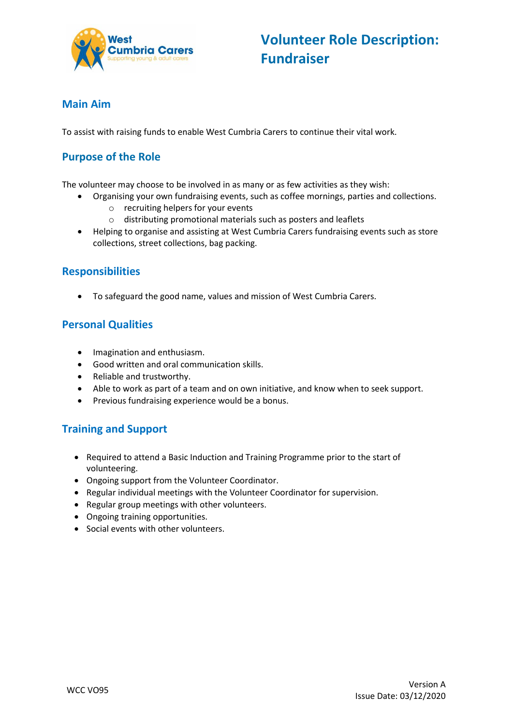

### **Main Aim**

To assist with raising funds to enable West Cumbria Carers to continue their vital work.

## **Purpose of the Role**

The volunteer may choose to be involved in as many or as few activities as they wish:

- Organising your own fundraising events, such as coffee mornings, parties and collections.
	- o recruiting helpers for your events
	- o distributing promotional materials such as posters and leaflets
- Helping to organise and assisting at West Cumbria Carers fundraising events such as store collections, street collections, bag packing.

### **Responsibilities**

To safeguard the good name, values and mission of West Cumbria Carers.

### **Personal Qualities**

- Imagination and enthusiasm.
- Good written and oral communication skills.
- Reliable and trustworthy.
- Able to work as part of a team and on own initiative, and know when to seek support.
- Previous fundraising experience would be a bonus.

#### **Training and Support**

- Required to attend a Basic Induction and Training Programme prior to the start of volunteering.
- Ongoing support from the Volunteer Coordinator.
- Regular individual meetings with the Volunteer Coordinator for supervision.
- Regular group meetings with other volunteers.
- Ongoing training opportunities.
- Social events with other volunteers.